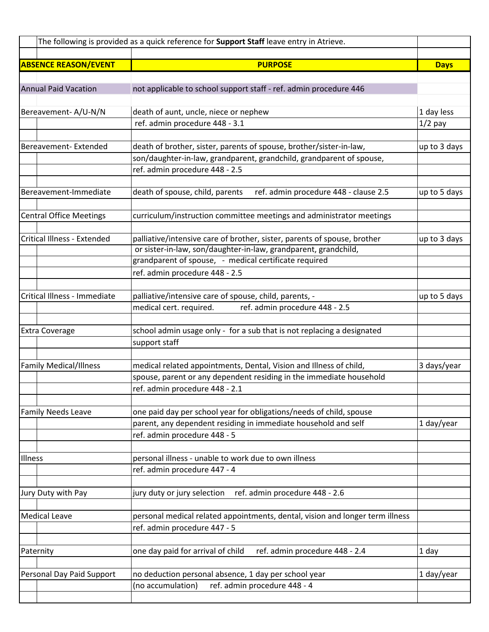| The following is provided as a quick reference for Support Staff leave entry in Atrieve. |                                                                                         |              |
|------------------------------------------------------------------------------------------|-----------------------------------------------------------------------------------------|--------------|
| <b>ABSENCE REASON/EVENT</b>                                                              | <b>PURPOSE</b>                                                                          | <b>Days</b>  |
|                                                                                          |                                                                                         |              |
| <b>Annual Paid Vacation</b>                                                              | not applicable to school support staff - ref. admin procedure 446                       |              |
|                                                                                          |                                                                                         |              |
| Bereavement-A/U-N/N                                                                      | death of aunt, uncle, niece or nephew                                                   | 1 day less   |
|                                                                                          | ref. admin procedure 448 - 3.1                                                          | $1/2$ pay    |
|                                                                                          |                                                                                         |              |
| Bereavement-Extended                                                                     | death of brother, sister, parents of spouse, brother/sister-in-law,                     | up to 3 days |
|                                                                                          | son/daughter-in-law, grandparent, grandchild, grandparent of spouse,                    |              |
|                                                                                          | ref. admin procedure 448 - 2.5                                                          |              |
|                                                                                          |                                                                                         |              |
| Bereavement-Immediate                                                                    | death of spouse, child, parents<br>ref. admin procedure 448 - clause 2.5                | up to 5 days |
| <b>Central Office Meetings</b>                                                           | curriculum/instruction committee meetings and administrator meetings                    |              |
|                                                                                          |                                                                                         |              |
| <b>Critical Illness - Extended</b>                                                       | palliative/intensive care of brother, sister, parents of spouse, brother                | up to 3 days |
|                                                                                          | or sister-in-law, son/daughter-in-law, grandparent, grandchild,                         |              |
|                                                                                          | grandparent of spouse, - medical certificate required                                   |              |
|                                                                                          | ref. admin procedure 448 - 2.5                                                          |              |
|                                                                                          |                                                                                         |              |
| Critical Illness - Immediate                                                             | palliative/intensive care of spouse, child, parents, -                                  | up to 5 days |
|                                                                                          | medical cert. required.<br>ref. admin procedure 448 - 2.5                               |              |
|                                                                                          |                                                                                         |              |
| <b>Extra Coverage</b>                                                                    | school admin usage only - for a sub that is not replacing a designated<br>support staff |              |
|                                                                                          |                                                                                         |              |
| <b>Family Medical/Illness</b>                                                            | medical related appointments, Dental, Vision and Illness of child,                      | 3 days/year  |
|                                                                                          | spouse, parent or any dependent residing in the immediate household                     |              |
|                                                                                          | ref. admin procedure 448 - 2.1                                                          |              |
|                                                                                          |                                                                                         |              |
| <b>Family Needs Leave</b>                                                                | one paid day per school year for obligations/needs of child, spouse                     |              |
|                                                                                          | parent, any dependent residing in immediate household and self                          | 1 day/year   |
|                                                                                          | ref. admin procedure 448 - 5                                                            |              |
|                                                                                          |                                                                                         |              |
| Illness                                                                                  | personal illness - unable to work due to own illness                                    |              |
|                                                                                          | ref. admin procedure 447 - 4                                                            |              |
| Jury Duty with Pay                                                                       | ref. admin procedure 448 - 2.6<br>jury duty or jury selection                           |              |
|                                                                                          |                                                                                         |              |
| <b>Medical Leave</b>                                                                     | personal medical related appointments, dental, vision and longer term illness           |              |
|                                                                                          | ref. admin procedure 447 - 5                                                            |              |
|                                                                                          |                                                                                         |              |
| Paternity                                                                                | one day paid for arrival of child<br>ref. admin procedure 448 - 2.4                     | 1 day        |
|                                                                                          |                                                                                         |              |
| Personal Day Paid Support                                                                | no deduction personal absence, 1 day per school year                                    | 1 day/year   |
|                                                                                          | ref. admin procedure 448 - 4<br>(no accumulation)                                       |              |
|                                                                                          |                                                                                         |              |